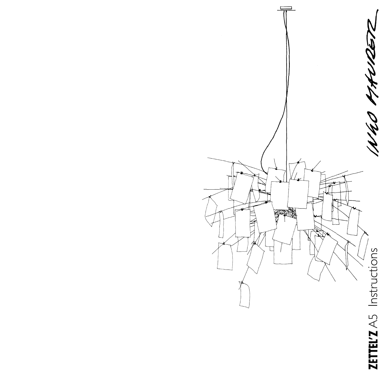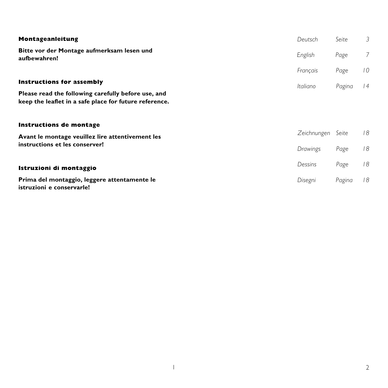| Montageanleitung                                                                                                                                  | Deutsch                 | Seite         | 3               |
|---------------------------------------------------------------------------------------------------------------------------------------------------|-------------------------|---------------|-----------------|
| Bitte vor der Montage aufmerksam lesen und<br>aufbewahren!                                                                                        | English                 | Page          | $\overline{7}$  |
|                                                                                                                                                   | Français                | Page          | 10 <sup>°</sup> |
| <b>Instructions for assembly</b><br>Please read the following carefully before use, and<br>keep the leaflet in a safe place for future reference. | Italiano                | Pagina        | 4               |
| <b>Instructions de montage</b><br>Avant le montage veuillez lire attentivement les<br>instructions et les conserver!                              | Zeichnungen<br>Drawings | Seite<br>Page | 18<br>18        |
| Istruzioni di montaggio                                                                                                                           | Dessins                 | Page          | 18              |
| Prima del montaggio, leggere attentamente le<br>istruzioni e conservarle!                                                                         | Disegni                 | Pagina        | 18              |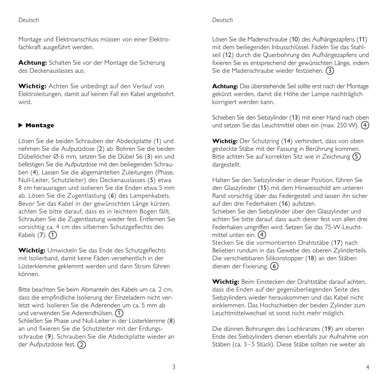#### *Deutsch*

Montage und Elektroanschluss müssen von einer Elektrofachkraft ausgeführt werden.

**Achtung:** Schalten Sie vor der Montage die Sicherung des Deckenauslasses aus.

**Wichtig:** Achten Sie unbedingt auf den Verlauf von Elektroleitungen, damit auf keinen Fall ein Kabel angebohrt wird.

# **Montage ▲**

Lösen Sie die beiden Schrauben der Abdeckplatte (1) und nehmen Sie die Aufputzdose (2) ab. Bohren Sie die beiden Dübellöcher Ø 6 mm, setzen Sie die Dübel S6 (3) ein und befestigen Sie die Aufputzdose mit den beiliegenden Schrauben (4). Lassen Sie die abgemantelten Zuleitungen (Phase, Null-Leiter, Schutzleiter) des Deckenauslasses (5) etwa 8 cm herausragen und isolieren Sie die Enden etwa 5 mm ab. Lösen Sie die Zugentlastung (6) des Lampenkabels. Bevor Sie das Kabel in der gewünschten Länge kürzen, achten Sie bitte darauf, dass es in leichtem Bogen fällt. Schrauben Sie die Zugentlastung wieder fest. Entfernen Sie vorsichtig ca. 4 cm des silbernen Schutzgeflechts des Kabels (7). 1

**Wichtig:** Umwickeln Sie das Ende des Schutzgeflechts mit Isolierband, damit keine Fäden versehentlich in der Lüsterklemme geklemmt werden und dann Strom führen können.

Bitte beachten Sie beim Abmanteln des Kabels um ca. 2 cm, dass die empfindliche Isolierung der Einzeladern nicht verletzt wird. Isolieren Sie die Aderenden um ca. 5 mm ab und verwenden Sie Aderendhülsen.  $\Large{\textcircled{\small{1}}}$ Schließen Sie Phase und Null-Leiter in der Lüsterklemme (8) an und fixieren Sie die Schutzleiter mit der Erdungsschraube (9). Schrauben Sie die Abdeckplatte wieder an der Aufputzdose fest.  $\widehat{2}$ 

Lösen Sie die Madenschraube (10) des Aufhängezapfens (11) mit dem beiliegenden Inbusschlüssel. Fädeln Sie das Stahl-

*Deutsch*

seil (12) durch die Querbohrung des Aufhängezapfens und fixieren Sie es entsprechend der gewünschten Länge, indem Sie die Madenschraube wieder festziehen. 3

**Achtung:** Das überstehende Seil sollte erst nach der Montage gekürzt werden, damit die Höhe der Lampe nachträglich korrigiert werden kann.

Schieben Sie den Siebzylinder (13) mit einer Hand nach oben und setzen Sie das Leuchtmittel oben ein (max. 250 W). 4

**Wichtig:** Der Schutzring (14) verhindert, dass von oben gesteckte Stäbe mit der Fassung in Berührung kommen. Bitte achten Sie auf korrekten Sitz wie in Zeichnung 5 dargestellt.

Halten Sie den Siebzylinder in dieser Position, führen Sie den Glaszylinder (15) mit dem Hinweisschild am unteren Rand vorsichtig über das Federgestell und lassen ihn sicher auf den drei Federhaken (16) aufsitzen. Schieben Sie den Siebzylinder über den Glaszylinder und achten Sie bitte darauf, dass auch dieser fest von allen drei Federhaken umgriffen wird. Setzen Sie das 75-W-Leuchtmittel unten ein. 4 Stecken Sie die vormontierten Drahtstäbe (17) nach Belieben rundum in das Gewebe des oberen Zylinderteils. Die verschiebbaren Silikonstopper (18) an den Stäben

**Wichtig:** Beim Einstecken der Drahtstäbe darauf achten, dass die Enden auf der gegenüberliegenden Seite des Siebzylinders wieder herauskommen und das Kabel nicht einklemmen. Das Hochschieben der beiden Zylinder zum Leuchtmittelwechsel ist sonst nicht mehr möglich.

dienen der Fixierung. 6

Die dünnen Bohrungen des Lochkranzes (19) am oberen Ende des Siebzylinders dienen ebenfalls zur Aufnahme von Stäben (ca. 3–5 Stück). Diese Stäbe sollten nie weiter als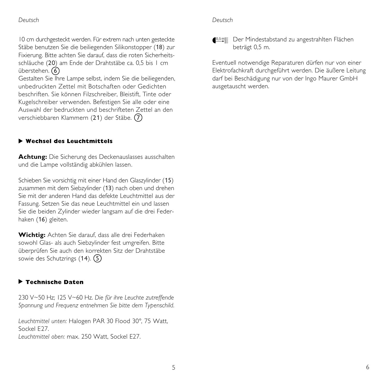10 cm durchgesteckt werden. Für extrem nach unten gesteckte Stäbe benutzen Sie die beiliegenden Silikonstopper (18) zur Fixierung. Bitte achten Sie darauf, dass die roten Sicherheitsschläuche (20) am Ende der Drahtstäbe ca. 0,5 bis 1 cm überstehen. 6

Gestalten Sie Ihre Lampe selbst, indem Sie die beiliegenden, unbedruckten Zettel mit Botschaften oder Gedichten beschriften. Sie können Filzschreiber, Bleistift, Tinte oder Kugelschreiber verwenden. Befestigen Sie alle oder eine Auswahl der bedruckten und beschrifteten Zettel an den verschiebbaren Klammern (21) der Stäbe. 7

#### **Wechsel des Leuchtmittels ▲**

**Achtung:** Die Sicherung des Deckenauslasses ausschalten und die Lampe vollständig abkühlen lassen.

Schieben Sie vorsichtig mit einer Hand den Glaszylinder (15) zusammen mit dem Siebzylinder (13) nach oben und drehen Sie mit der anderen Hand das defekte Leuchtmittel aus der Fassung. Setzen Sie das neue Leuchtmittel ein und lassen Sie die beiden Zylinder wieder langsam auf die drei Federhaken (16) gleiten.

**Wichtig:** Achten Sie darauf, dass alle drei Federhaken sowohl Glas- als auch Siebzylinder fest umgreifen. Bitte überprüfen Sie auch den korrekten Sitz der Drahtstäbe sowie des Schutzrings (14). 5

#### **Technische Daten ▲**

230 V~50 Hz; 125 V~60 Hz. *Die für ihre Leuchte zutreffende Spannung und Frequenz entnehmen Sie bitte dem Typenschild.*

*Leuchtmittel unten:* Halogen PAR 30 Flood 30°, 75 Watt, Sockel F<sub>27</sub> *Leuchtmittel oben:* max. 250 Watt, Sockel E27.

# *Deutsch Deutsch*

<u>■0,5m</u> Der Mindestabstand zu angestrahlten Flächen beträgt 0,5 m.

Eventuell notwendige Reparaturen dürfen nur von einer Elektrofachkraft durchgeführt werden. Die äußere Leitung darf bei Beschädigung nur von der Ingo Maurer GmbH ausgetauscht werden.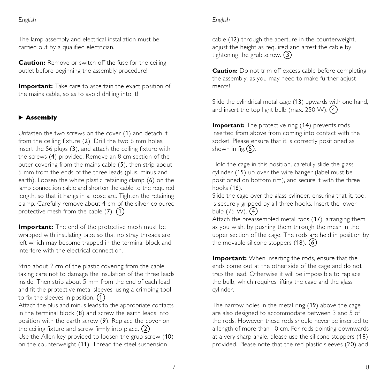#### *English*

The lamp assembly and electrical installation must be carried out by a qualified electrician.

**Caution:** Remove or switch off the fuse for the ceiling outlet before beginning the assembly procedure!

**Important:** Take care to ascertain the exact position of the mains cable, so as to avoid drilling into it!

# **Assembly ▲**

Unfasten the two screws on the cover (1) and detach it from the ceiling fixture (2). Drill the two 6 mm holes, insert the S6 plugs (3), and attach the ceiling fixture with the screws (4) provided. Remove an 8 cm section of the outer covering from the mains cable (5), then strip about 5 mm from the ends of the three leads (plus, minus and earth). Loosen the white plastic retaining clamp (6) on the lamp connection cable and shorten the cable to the required length, so that it hangs in a loose arc. Tighten the retaining clamp. Carefully remove about 4 cm of the silver-coloured protective mesh from the cable  $(7)$ .  $(1)$ 

**Important:** The end of the protective mesh must be wrapped with insulating tape so that no stray threads are left which may become trapped in the terminal block and interfere with the electrical connection.

Strip about 2 cm of the plastic covering from the cable, taking care not to damage the insulation of the three leads inside. Then strip about 5 mm from the end of each lead and fit the protective metal sleeves, using a crimping tool to fix the sleeves in position.  $\bigcap$ 

Attach the plus and minus leads to the appropriate contacts in the terminal block (8) and screw the earth leads into position with the earth screw (9). Replace the cover on the ceiling fixture and screw firmly into place.  $\widehat{2}$ 

Use the Allen key provided to loosen the grub screw (10) on the counterweight (11). Thread the steel suspension

# *English*

cable (12) through the aperture in the counterweight, adjust the height as required and arrest the cable by tightening the grub screw.  $\overline{3}$ 

**Caution:** Do not trim off excess cable before completing the assembly, as you may need to make further adjustments!

Slide the cylindrical metal cage (13) upwards with one hand, and insert the top light bulb (max. 250 W). 4

**Important:** The protective ring (14) prevents rods inserted from above from coming into contact with the socket. Please ensure that it is correctly positioned as shown in fig.  $\textcircled{\scriptsize{\textsf{5}}}$ .

Hold the cage in this position, carefully slide the glass cylinder (15) up over the wire hanger (label must be positioned on bottom rim), and secure it with the three hooks (16).

Slide the cage over the glass cylinder, ensuring that it, too, is securely gripped by all three hooks. Insert the lower bulb (75 W). 4

Attach the preassembled metal rods (17), arranging them as you wish, by pushing them through the mesh in the upper section of the cage. The rods are held in position by the movable silicone stoppers (18). 6

**Important:** When inserting the rods, ensure that the ends come out at the other side of the cage and do not trap the lead. Otherwise it will be impossible to replace the bulb, which requires lifting the cage and the glass cylinder.

The narrow holes in the metal ring (19) above the cage are also designed to accommodate between 3 and 5 of the rods. However, these rods should never be inserted to a length of more than 10 cm. For rods pointing downwards at a very sharp angle, please use the silicone stoppers (18) provided. Please note that the red plastic sleeves (20) add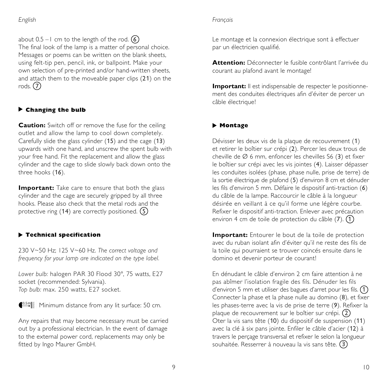*English*

about 0.5  $-$  I cm to the length of the rod.  $\Large{6}$ The final look of the lamp is a matter of personal choice. Messages or poems can be written on the blank sheets, using felt-tip pen, pencil, ink, or ballpoint. Make your own selection of pre-printed and/or hand-written sheets, and attach them to the moveable paper clips (21) on the rods. 7

## **Changing the bulb ▲**

**Caution:** Switch off or remove the fuse for the ceiling outlet and allow the lamp to cool down completely. Carefully slide the glass cylinder (15) and the cage (13) upwards with one hand, and unscrew the spent bulb with your free hand. Fit the replacement and allow the glass cylinder and the cage to slide slowly back down onto the three hooks (16).

**Important:** Take care to ensure that both the glass cylinder and the cage are securely gripped by all three hooks. Please also check that the metal rods and the protective ring (14) are correctly positioned.  $\Large{\textcircled{\small{5}}}$ 

# **Technical specification ▲**

230 V~50 Hz; 125 V~60 Hz. *The correct voltage and frequency for your lamp are indicated on the type label.*

*Lower bulb:* halogen PAR 30 Flood 30°, 75 watts, E27 socket (recommended: Sylvania). *Top bulb:* max. 250 watts, E27 socket.



**Condity** Minimum distance from any lit surface: 50 cm.

Any repairs that may become necessary must be carried out by a professional electrician. In the event of damage to the external power cord, replacements may only be fitted by Ingo Maurer GmbH.

#### *Français*

Le montage et la connexion électrique sont à effectuer par un électricien qualifié.

**Attention:** Déconnecter le fusible contrôlant l'arrivée du courant au plafond avant le montage!

**Important:** Il est indispensable de respecter le positionnement des conduites électriques afin d'éviter de percer un câble électrique!

## **Montage ▲**

Dévisser les deux vis de la plaque de recouvrement (1) et retirer le boîtier sur crépi (2). Percer les deux trous de cheville de Ø 6 mm, enfoncer les chevilles S6 (3) et fixer le boîtier sur crépi avec les vis jointes (4). Laisser dépasser les conduites isolées (phase, phase nulle, prise de terre) de la sortie électrique de plafond (5) d'environ 8 cm et dénuder les fils d'environ 5 mm. Défaire le dispositif anti-traction (6) du câble de la lampe. Raccourcir le câble à la longueur désirée en veillant à ce qu'il forme une légère courbe. Refixer le dispositif anti-traction. Enlever avec précaution environ 4 cm de toile de protection du câble (7). 1

**Important:** Entourer le bout de la toile de protection avec du ruban isolant afin d'éviter qu'il ne reste des fils de la toile qui pourraient se trouver coincés ensuite dans le domino et devenir porteur de courant!

En dénudant le câble d'environ 2 cm faire attention à ne pas abîmer l'isolation fragile des fils. Dénuder les fils d'environ 5 mm et utiliser des bagues d'arret pour les fils. 1 Connecter la phase et la phase nulle au domino (8), et fixer les phases-terre avec la vis de prise de terre (9). Refixer la plaque de recouvrement sur le boîtier sur crépi. (2 Oter la vis sans tête (10) du dispositif de suspension (11) avec la clé à six pans jointe. Enfiler le câble d'acier (12) à travers le perçage transversal et refixer le selon la longueur souhaitée. Resserrer à nouveau la vis sans tête. (3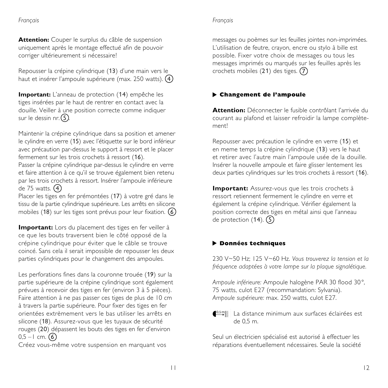#### *Français*

#### *Français*

**Attention:** Couper le surplus du câble de suspension uniquement après le montage effectué afin de pouvoir corriger ultérieurement si nécessaire!

Repousser la crépine cylindrique (13) d'une main vers le haut et insérer l'ampoule supérieure (max. 250 watts). 4

**Important:** L'anneau de protection (14) empêche les tiges insérées par le haut de rentrer en contact avec la douille. Veiller à une position correcte comme indiquer sur le dessin nr. $\textcircled{\textsf{S}}$ .

Maintenir la crépine cylindrique dans sa position et amener le cylindre en verre (15) avec l'étiquette sur le bord inférieur avec précaution par-dessus le support à ressort et le placer fermement sur les trois crochets à ressort (16).

Passer la crépine cylindrique par-dessus le cylindre en verre et faire attention à ce qu'il se trouve également bien retenu par les trois crochets à ressort. Insérer l'ampoule inférieure de 75 watts. 4

Placer les tiges en fer prémontées (17) à votre gré dans le tissu de la partie cylindrique supérieure. Les arrêts en silicone mobiles (18) sur les tiges sont prévus pour leur fixation.  $\overline{6}$ 

**Important:** Lors du placement des tiges en fer veiller à ce que les bouts traversent bien le côté opposé de la crépine cylindrique pour éviter que le câble se trouve coincé. Sans cela il serait impossible de repousser les deux parties cylindriques pour le changement des ampoules.

Les perforations fines dans la couronne trouée (19) sur la partie supérieure de la crépine cylindrique sont également prévues à recevoir des tiges en fer (environ 3 à 5 pièces). Faire attention à ne pas passer ces tiges de plus de 10 cm à travers la partie supérieure. Pour fixer des tiges en fer orientées extrèmement vers le bas utiliser les arrêts en silicone (18). Assurez-vous que les tuyaux de sécurité rouges (20) dépassent les bouts des tiges en fer d'environ  $0,5 - 1$  cm.  $6$ 

Créez vous-même votre suspension en marquant vos

messages ou poèmes sur les feuilles jointes non-imprimées. L'utilisation de feutre, crayon, encre ou stylo à bille est possible. Fixer votre choix de messages ou tous les messages imprimés ou marqués sur les feuilles après les crochets mobiles (21) des tiges. 7

# **Changement de l'ampoule ▲**

**Attention:** Déconnecter le fusible contrôlant l'arrivée du courant au plafond et laisser refroidir la lampe complètement!

Repousser avec précaution le cylindre en verre (15) et en meme temps la crépine cylindrique (13) vers le haut et retirer avec l'autre main l'ampoule usée de la douille. Insérer la nouvelle ampoule et faire glisser lentement les deux parties cylindriques sur les trois crochets à ressort (16).

**Important:** Assurez-vous que les trois crochets à ressort retiennent fermement le cylindre en verre et également la crépine cylindrique. Vérifier également la position correcte des tiges en métal ainsi que l'anneau de protection (14). 5

#### **Données techniques ▲**

230 V~50 Hz; 125 V~60 Hz. *Vous trouverez la tension et la fréquence adaptées à votre lampe sur la plaque signalétique.*

*Ampoule inférieure:* Ampoule halogène PAR 30 flood 30°, 75 watts, culot E27 (recommandation: Sylvania). *Ampoule supérieure:* max. 250 watts, culot E27.

**CEMI** La distance minimum aux surfaces éclairées est de 0,5 m.

Seul un électricien spécialisé est autorisé à effectuer les réparations éventuellement nécessaires. Seule la société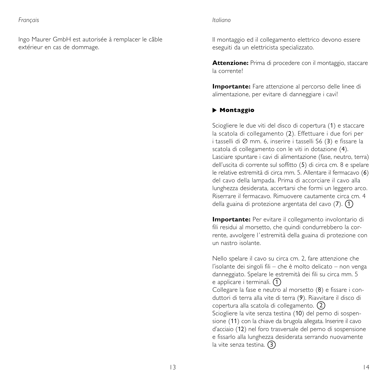Ingo Maurer GmbH est autorisée à remplacer le câble extérieur en cas de dommage.

#### *Italiano*

Il montaggio ed il collegamento elettrico devono essere eseguiti da un elettricista specializzato.

**Attenzione:** Prima di procedere con il montaggio, staccare la corrente!

**Importante:** Fare attenzione al percorso delle linee di alimentazione, per evitare di danneggiare i cavi!

#### **Montaggio ▲**

Sciogliere le due viti del disco di copertura (1) e staccare la scatola di collegamento (2). Effettuare i due fori per i tasselli di Ø mm. 6, inserire i tasselli S6 (3) e fissare la scatola di collegamento con le viti in dotazione (4). Lasciare spuntare i cavi di alimentazione (fase, neutro, terra) dell'uscita di corrente sul soffitto (5) di circa cm. 8 e spelare le relative estremità di circa mm. 5. Allentare il fermacavo (6) del cavo della lampada. Prima di accorciare il cavo alla lunghezza desiderata, accertarsi che formi un leggero arco. Riserrare il fermacavo. Rimuovere cautamente circa cm. 4 della guaina di protezione argentata del cavo (7). 1

**Importante:** Per evitare il collegamento involontario di fili residui al morsetto, che quindi condurrebbero la corrente, avvolgere l 'estremità della guaina di protezione con un nastro isolante.

Nello spelare il cavo su circa cm. 2, fare attenzione che l'isolante dei singoli fili – che è molto delicato – non venga danneggiato. Spelare le estremità dei fili su circa mm. 5 e applicare i terminali. (1 Collegare la fase e neutro al morsetto (8) e fissare i conduttori di terra alla vite di terra (9). Riavvitare il disco di copertura alla scatola di collegamento. 2 Sciogliere la vite senza testina (10) del perno di sospensione (11) con la chiave da brugola allegata. Inserire il cavo d'acciaio (12) nel foro trasversale del perno di sospensione e fissarlo alla lunghezza desiderata serrando nuovamente la vite senza testina. (3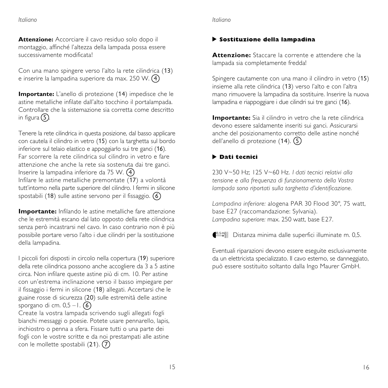#### *Italiano*

*Italiano*

**Attenzione:** Accorciare il cavo residuo solo dopo il montaggio, affinché l'altezza della lampada possa essere successivamente modificata!

Con una mano spingere verso l'alto la rete cilindrica (13) e inserire la lampadina superiore da max. 250 W. 4

**Importante:** L'anello di protezione (14) impedisce che le astine metalliche infilate dall'alto tocchino il portalampada. Controllare che la sistemazione sia corretta come descritto in figura  $\textcircled{\scriptsize{5}}$ .

Tenere la rete cilindrica in questa posizione, dal basso applicare con cautela il cilindro in vetro (15) con la targhetta sul bordo inferiore sul telaio elastico e appoggiarlo sui tre ganci (16). Far scorrere la rete cilindrica sul cilindro in vetro e fare attenzione che anche la rete sia sostenuta dai tre ganci. Inserire la lampadina inferiore da 75 W. 4 Infilare le astine metalliche premontate (17) a volontà tutt'intorno nella parte superiore del cilindro. I fermi in silicone spostabili (18) sulle astine servono per il fissaggio.  $\Large{\textcircled{\small{6}}}$ 

**Importante:** Infilando le astine metalliche fare attenzione che le estremità escano dal lato opposto della rete cilindrica senza però incastrarsi nel cavo. In caso contrario non è più possibile portare verso l'alto i due cilindri per la sostituzione della lampadina.

I piccoli fori disposti in circolo nella copertura (19) superiore della rete cilindrica possono anche accogliere da 3 a 5 astine circa. Non infilare queste astine più di cm. 10. Per astine con un'estrema inclinazione verso il basso impiegare per il fissaggio i fermi in silicone (18) allegati. Accertarsi che le guaine rosse di sicurezza (20) sulle estremità delle astine sporgano di cm. 0,5 – I.  $\overline{6}$ 

Create la vostra lampada scrivendo sugli allegati fogli bianchi messaggi o poesie. Potete usare pennarello, lapis, inchiostro o penna a sfera. Fissare tutti o una parte dei fogli con le vostre scritte e da noi prestampati alle astine con le mollette spostabili (21).  $\widehat{7}$ 

# **Sostituzione della lampadina ▲**

**Attenzione:** Staccare la corrente e attendere che la lampada sia completamente fredda!

Spingere cautamente con una mano il cilindro in vetro (15) insieme alla rete cilindrica (13) verso l'alto e con l'altra mano rimuovere la lampadina da sostituire. Inserire la nuova lampadina e riappoggiare i due cilindri sui tre ganci (16).

**Importante:** Sia il cilindro in vetro che la rete cilindrica devono essere saldamente inseriti sui ganci. Assicurarsi anche del posizionamento corretto delle astine nonché dell'anello di protezione (14). 5

# **Dati tecnici ▲**

230 V~50 Hz; 125 V~60 Hz. *I dati tecnici relativi alla tensione e alla frequenza di funzionamento della Vostra lampada sono riportati sulla targhetta d'identificazione.*

*Lampadina inferiore:* alogena PAR 30 Flood 30°, 75 watt, base E27 (raccomandazione: Sylvania). *Lampadina superiore:* max. 250 watt, base E27.

**(0,5m)** Distanza minima dalle superfici illuminate m. 0,5.

Eventuali riparazioni devono essere eseguite esclusivamente da un elettricista specializzato. Il cavo esterno, se danneggiato, può essere sostituito soltanto dalla Ingo Maurer GmbH.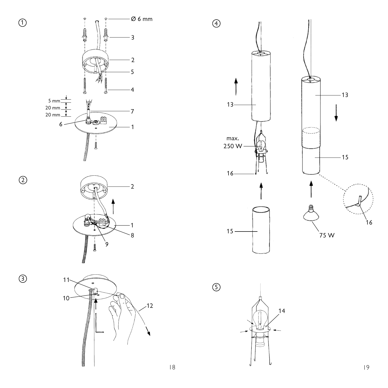

 $\bigcirc$ 

 $\circled{2}$ 

 $\circledS$